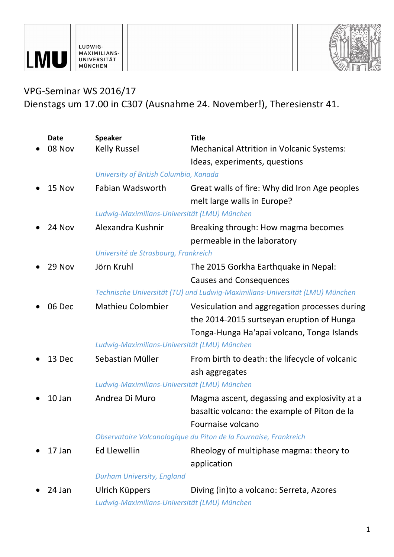



## VPG-Seminar WS 2016/17 Dienstags um 17.00 in C307 (Ausnahme 24. November!), Theresienstr 41.

|  | <b>Date</b> | <b>Speaker</b>                                                 | <b>Title</b>                                                                                                                             |
|--|-------------|----------------------------------------------------------------|------------------------------------------------------------------------------------------------------------------------------------------|
|  | 08 Nov      | <b>Kelly Russel</b>                                            | <b>Mechanical Attrition in Volcanic Systems:</b>                                                                                         |
|  |             |                                                                | Ideas, experiments, questions                                                                                                            |
|  |             | University of British Columbia, Kanada                         |                                                                                                                                          |
|  | 15 Nov      | Fabian Wadsworth                                               | Great walls of fire: Why did Iron Age peoples<br>melt large walls in Europe?                                                             |
|  |             | Ludwig-Maximilians-Universität (LMU) München                   |                                                                                                                                          |
|  | 24 Nov      | Alexandra Kushnir                                              | Breaking through: How magma becomes<br>permeable in the laboratory                                                                       |
|  |             | Université de Strasbourg, Frankreich                           |                                                                                                                                          |
|  | 29 Nov      | Jörn Kruhl                                                     | The 2015 Gorkha Earthquake in Nepal:                                                                                                     |
|  |             |                                                                | <b>Causes and Consequences</b>                                                                                                           |
|  |             |                                                                | Technische Universität (TU) und Ludwig-Maximilians-Universität (LMU) München                                                             |
|  | 06 Dec      | <b>Mathieu Colombier</b>                                       | Vesiculation and aggregation processes during<br>the 2014-2015 surtseyan eruption of Hunga<br>Tonga-Hunga Ha'apai volcano, Tonga Islands |
|  |             | Ludwig-Maximilians-Universität (LMU) München                   |                                                                                                                                          |
|  | 13 Dec      | Sebastian Müller                                               | From birth to death: the lifecycle of volcanic<br>ash aggregates                                                                         |
|  |             | Ludwig-Maximilians-Universität (LMU) München                   |                                                                                                                                          |
|  | 10 Jan      | Andrea Di Muro                                                 | Magma ascent, degassing and explosivity at a<br>basaltic volcano: the example of Piton de la<br>Fournaise volcano                        |
|  |             |                                                                | Observatoire Volcanologique du Piton de la Fournaise, Frankreich                                                                         |
|  | 17 Jan      | <b>Ed Llewellin</b>                                            | Rheology of multiphase magma: theory to                                                                                                  |
|  |             |                                                                | application                                                                                                                              |
|  |             | <b>Durham University, England</b>                              |                                                                                                                                          |
|  | 24 Jan      | Ulrich Küppers<br>Ludwig-Maximilians-Universität (LMU) München | Diving (in)to a volcano: Serreta, Azores                                                                                                 |